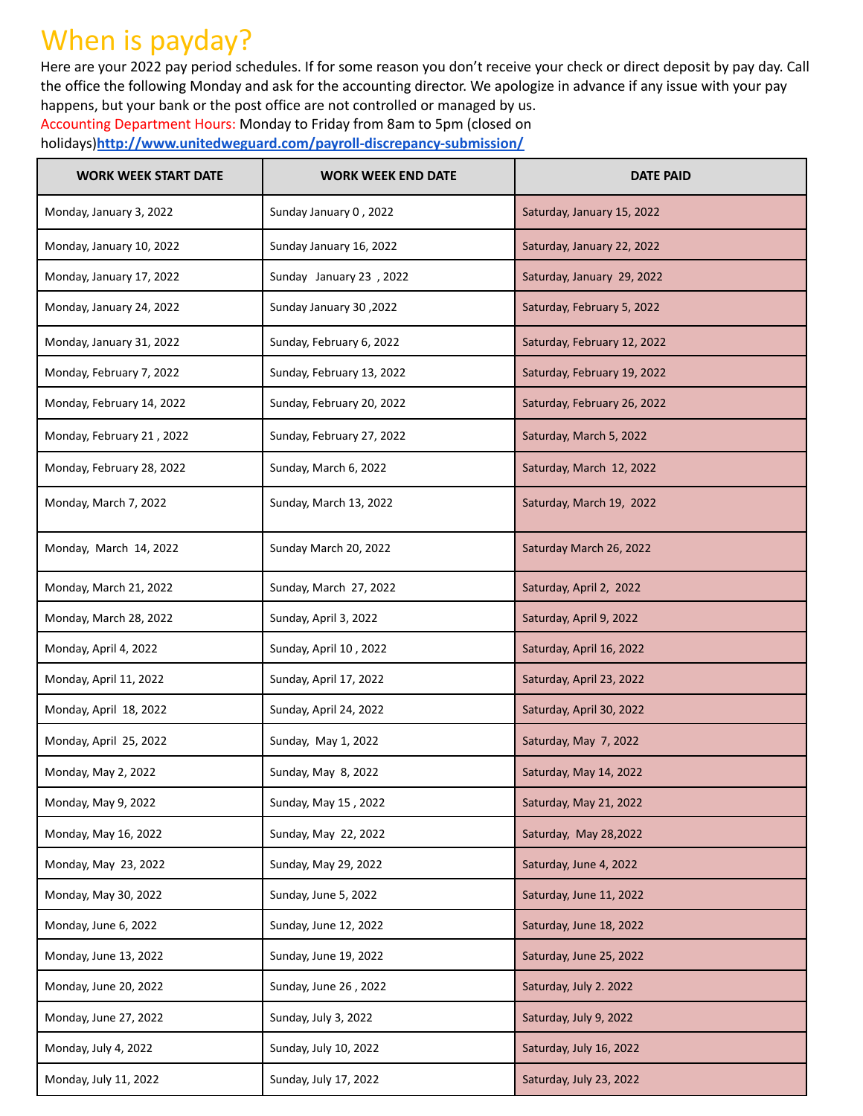## When is payday?

Here are your 2022 pay period schedules. If for some reason you don't receive your check or direct deposit by pay day. Call the office the following Monday and ask for the accounting director. We apologize in advance if any issue with your pay happens, but your bank or the post office are not controlled or managed by us.

Accounting Department Hours: Monday to Friday from 8am to 5pm (closed on holidays)**<http://www.unitedweguard.com/payroll-discrepancy-submission/>**

| <b>WORK WEEK START DATE</b> | <b>WORK WEEK END DATE</b> | <b>DATE PAID</b>            |
|-----------------------------|---------------------------|-----------------------------|
| Monday, January 3, 2022     | Sunday January 0, 2022    | Saturday, January 15, 2022  |
| Monday, January 10, 2022    | Sunday January 16, 2022   | Saturday, January 22, 2022  |
| Monday, January 17, 2022    | Sunday January 23, 2022   | Saturday, January 29, 2022  |
| Monday, January 24, 2022    | Sunday January 30, 2022   | Saturday, February 5, 2022  |
| Monday, January 31, 2022    | Sunday, February 6, 2022  | Saturday, February 12, 2022 |
| Monday, February 7, 2022    | Sunday, February 13, 2022 | Saturday, February 19, 2022 |
| Monday, February 14, 2022   | Sunday, February 20, 2022 | Saturday, February 26, 2022 |
| Monday, February 21, 2022   | Sunday, February 27, 2022 | Saturday, March 5, 2022     |
| Monday, February 28, 2022   | Sunday, March 6, 2022     | Saturday, March 12, 2022    |
| Monday, March 7, 2022       | Sunday, March 13, 2022    | Saturday, March 19, 2022    |
| Monday, March 14, 2022      | Sunday March 20, 2022     | Saturday March 26, 2022     |
| Monday, March 21, 2022      | Sunday, March 27, 2022    | Saturday, April 2, 2022     |
| Monday, March 28, 2022      | Sunday, April 3, 2022     | Saturday, April 9, 2022     |
| Monday, April 4, 2022       | Sunday, April 10, 2022    | Saturday, April 16, 2022    |
| Monday, April 11, 2022      | Sunday, April 17, 2022    | Saturday, April 23, 2022    |
| Monday, April 18, 2022      | Sunday, April 24, 2022    | Saturday, April 30, 2022    |
| Monday, April 25, 2022      | Sunday, May 1, 2022       | Saturday, May 7, 2022       |
| Monday, May 2, 2022         | Sunday, May 8, 2022       | Saturday, May 14, 2022      |
| Monday, May 9, 2022         | Sunday, May 15, 2022      | Saturday, May 21, 2022      |
| Monday, May 16, 2022        | Sunday, May 22, 2022      | Saturday, May 28,2022       |
| Monday, May 23, 2022        | Sunday, May 29, 2022      | Saturday, June 4, 2022      |
| Monday, May 30, 2022        | Sunday, June 5, 2022      | Saturday, June 11, 2022     |
| Monday, June 6, 2022        | Sunday, June 12, 2022     | Saturday, June 18, 2022     |
| Monday, June 13, 2022       | Sunday, June 19, 2022     | Saturday, June 25, 2022     |
| Monday, June 20, 2022       | Sunday, June 26, 2022     | Saturday, July 2. 2022      |
| Monday, June 27, 2022       | Sunday, July 3, 2022      | Saturday, July 9, 2022      |
| Monday, July 4, 2022        | Sunday, July 10, 2022     | Saturday, July 16, 2022     |
| Monday, July 11, 2022       | Sunday, July 17, 2022     | Saturday, July 23, 2022     |